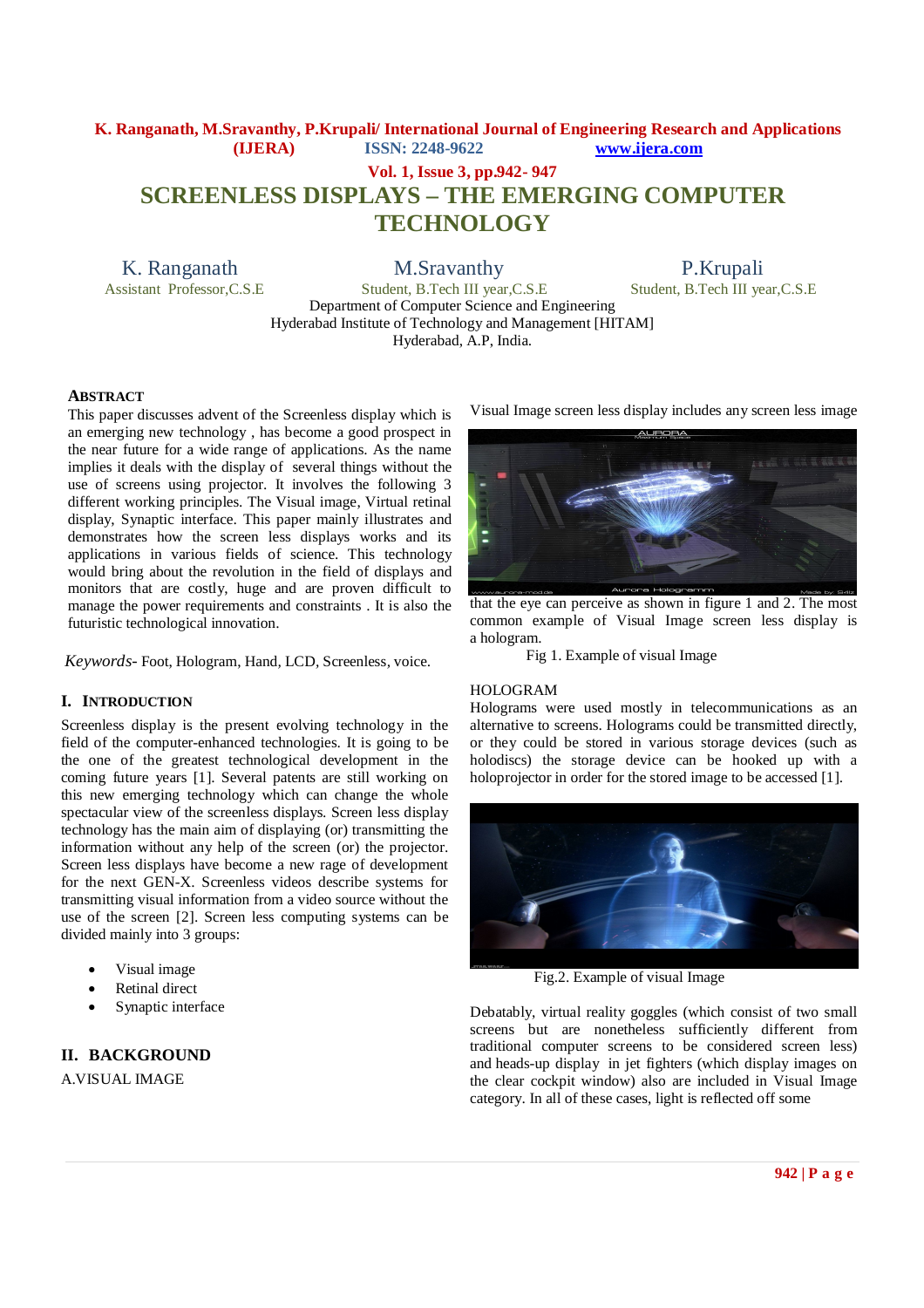# **K. Ranganath, M.Sravanthy, P.Krupali/ International Journal of Engineering Research and Applications (IJERA) ISSN: 2248-9622 www.ijera.com Vol. 1, Issue 3, pp.942- 947 SCREENLESS DISPLAYS – THE EMERGING COMPUTER TECHNOLOGY**

K. Ranganath M.Sravanthy P.Krupali<br>Assistant Professor.C.S.E Student. B.Tech III vear.C.S.E Student. B.Tech III ve

Student, B.Tech III year,C.S.E

Department of Computer Science and Engineering Hyderabad Institute of Technology and Management [HITAM] Hyderabad, A.P, India.

### **ABSTRACT**

This paper discusses advent of the Screenless display which is an emerging new technology , has become a good prospect in the near future for a wide range of applications. As the name implies it deals with the display of several things without the use of screens using projector. It involves the following 3 different working principles. The Visual image, Virtual retinal display, Synaptic interface. This paper mainly illustrates and demonstrates how the screen less displays works and its applications in various fields of science. This technology would bring about the revolution in the field of displays and monitors that are costly, huge and are proven difficult to manage the power requirements and constraints . It is also the futuristic technological innovation.

*Keywords-* Foot, Hologram, Hand*,* LCD*,* Screenless*,* voice.

### **I. INTRODUCTION**

Screenless display is the present evolving technology in the field of the computer-enhanced technologies. It is going to be the one of the greatest technological development in the coming future years [1]. Several patents are still working on this new emerging technology which can change the whole spectacular view of the screenless displays. Screen less display technology has the main aim of displaying (or) transmitting the information without any help of the screen (or) the projector. Screen less displays have become a new rage of development for the next GEN-X. Screenless videos describe systems for transmitting visual information from a video source without the use of the screen [2]. Screen less computing systems can be divided mainly into 3 groups:

- Visual image
- Retinal direct
- Synaptic interface

## **II. BACKGROUND**

A.VISUAL IMAGE

Visual Image screen less display includes any screen less image



that the eye can perceive as shown in figure 1 and 2. The most common example of Visual Image screen less display is a hologram.

Fig 1. Example of visual Image

## HOLOGRAM

Holograms were used mostly in telecommunications as an alternative to screens. Holograms could be transmitted directly, or they could be stored in various storage devices (such as holodiscs) the storage device can be hooked up with a holoprojector in order for the stored image to be accessed [1].



Fig.2. Example of visual Image

Debatably, virtual reality goggles (which consist of two small screens but are nonetheless sufficiently different from traditional computer screens to be considered screen less) and heads-up display in jet fighters (which display images on the clear cockpit window) also are included in Visual Image category. In all of these cases, light is reflected off some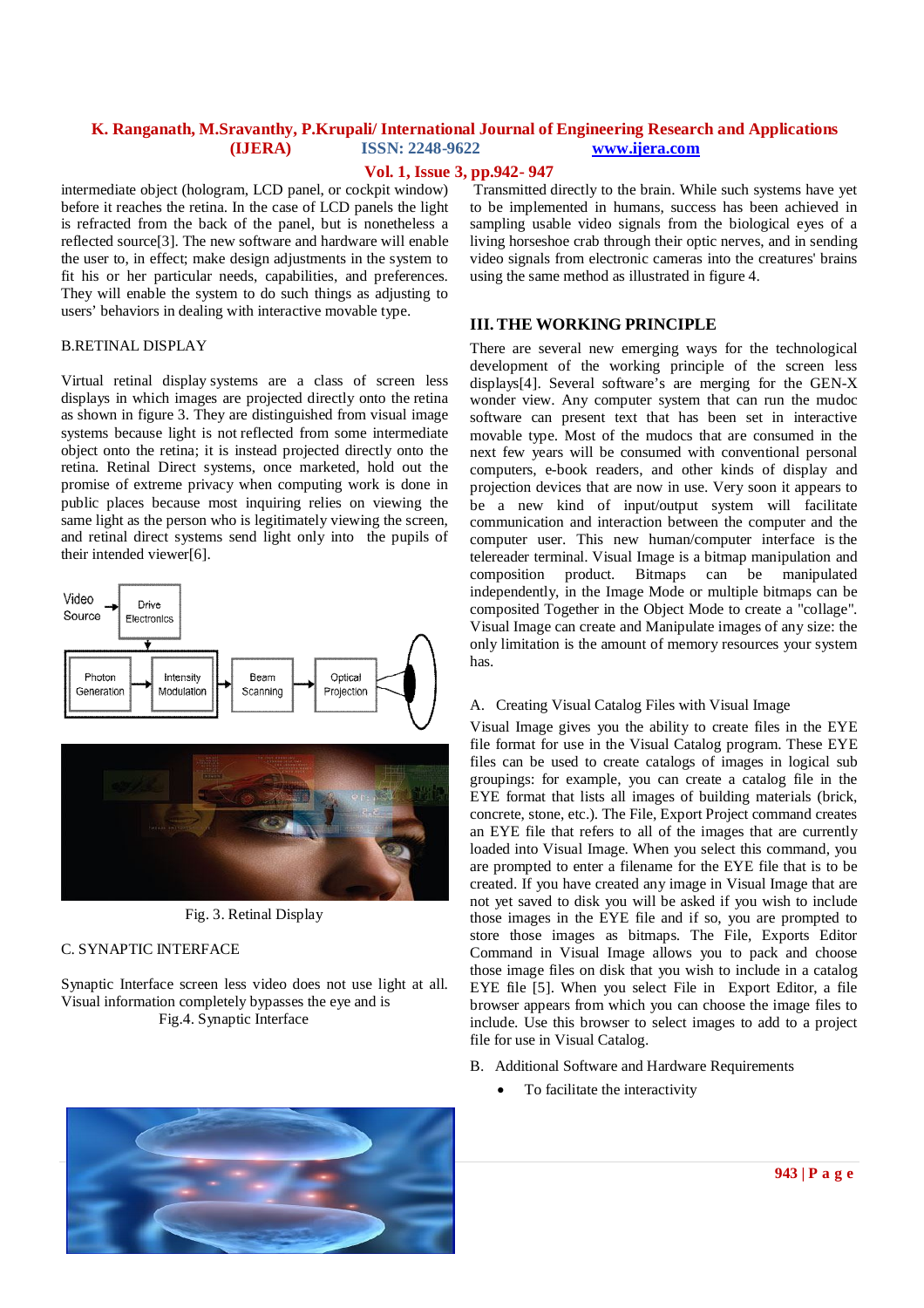## **Vol. 1, Issue 3, pp.942- 947**

intermediate object (hologram, LCD panel, or cockpit window) before it reaches the retina. In the case of LCD panels the light is refracted from the back of the panel, but is nonetheless a reflected source[3]. The new software and hardware will enable the user to, in effect; make design adjustments in the system to fit his or her particular needs, capabilities, and preferences. They will enable the system to do such things as adjusting to users' behaviors in dealing with interactive movable type.

### B.RETINAL DISPLAY

Virtual retinal display systems are a class of screen less displays in which images are projected directly onto the retina as shown in figure 3. They are distinguished from visual image systems because light is not reflected from some intermediate object onto the retina; it is instead projected directly onto the retina. Retinal Direct systems, once marketed, hold out the promise of extreme privacy when computing work is done in public places because most inquiring relies on viewing the same light as the person who is legitimately viewing the screen, and retinal direct systems send light only into the pupils of their intended viewer[6].



Fig. 3. Retinal Display

### C. SYNAPTIC INTERFACE

Synaptic Interface screen less video does not use light at all. Visual information completely bypasses the eye and is Fig.4. Synaptic Interface

Transmitted directly to the brain. While such systems have yet to be implemented in humans, success has been achieved in sampling usable video signals from the biological eyes of a living horseshoe crab through their optic nerves, and in sending video signals from electronic cameras into the creatures' brains using the same method as illustrated in figure 4.

### **III. THE WORKING PRINCIPLE**

There are several new emerging ways for the technological development of the working principle of the screen less displays[4]. Several software's are merging for the GEN-X wonder view. Any computer system that can run the mudoc software can present text that has been set in interactive movable type. Most of the mudocs that are consumed in the next few years will be consumed with conventional personal computers, e-book readers, and other kinds of display and projection devices that are now in use. Very soon it appears to be a new kind of input/output system will facilitate communication and interaction between the computer and the computer user. This new human/computer interface is the telereader terminal. Visual Image is a bitmap manipulation and composition product. Bitmaps can be manipulated independently, in the Image Mode or multiple bitmaps can be composited Together in the Object Mode to create a "collage". Visual Image can create and Manipulate images of any size: the only limitation is the amount of memory resources your system has.

### A. Creating Visual Catalog Files with Visual Image

Visual Image gives you the ability to create files in the EYE file format for use in the Visual Catalog program. These EYE files can be used to create catalogs of images in logical sub groupings: for example, you can create a catalog file in the EYE format that lists all images of building materials (brick, concrete, stone, etc.). The File, Export Project command creates an EYE file that refers to all of the images that are currently loaded into Visual Image. When you select this command, you are prompted to enter a filename for the EYE file that is to be created. If you have created any image in Visual Image that are not yet saved to disk you will be asked if you wish to include those images in the EYE file and if so, you are prompted to store those images as bitmaps. The File, Exports Editor Command in Visual Image allows you to pack and choose those image files on disk that you wish to include in a catalog EYE file [5]. When you select File in Export Editor, a file browser appears from which you can choose the image files to include. Use this browser to select images to add to a project file for use in Visual Catalog.

#### B. Additional Software and Hardware Requirements

To facilitate the interactivity

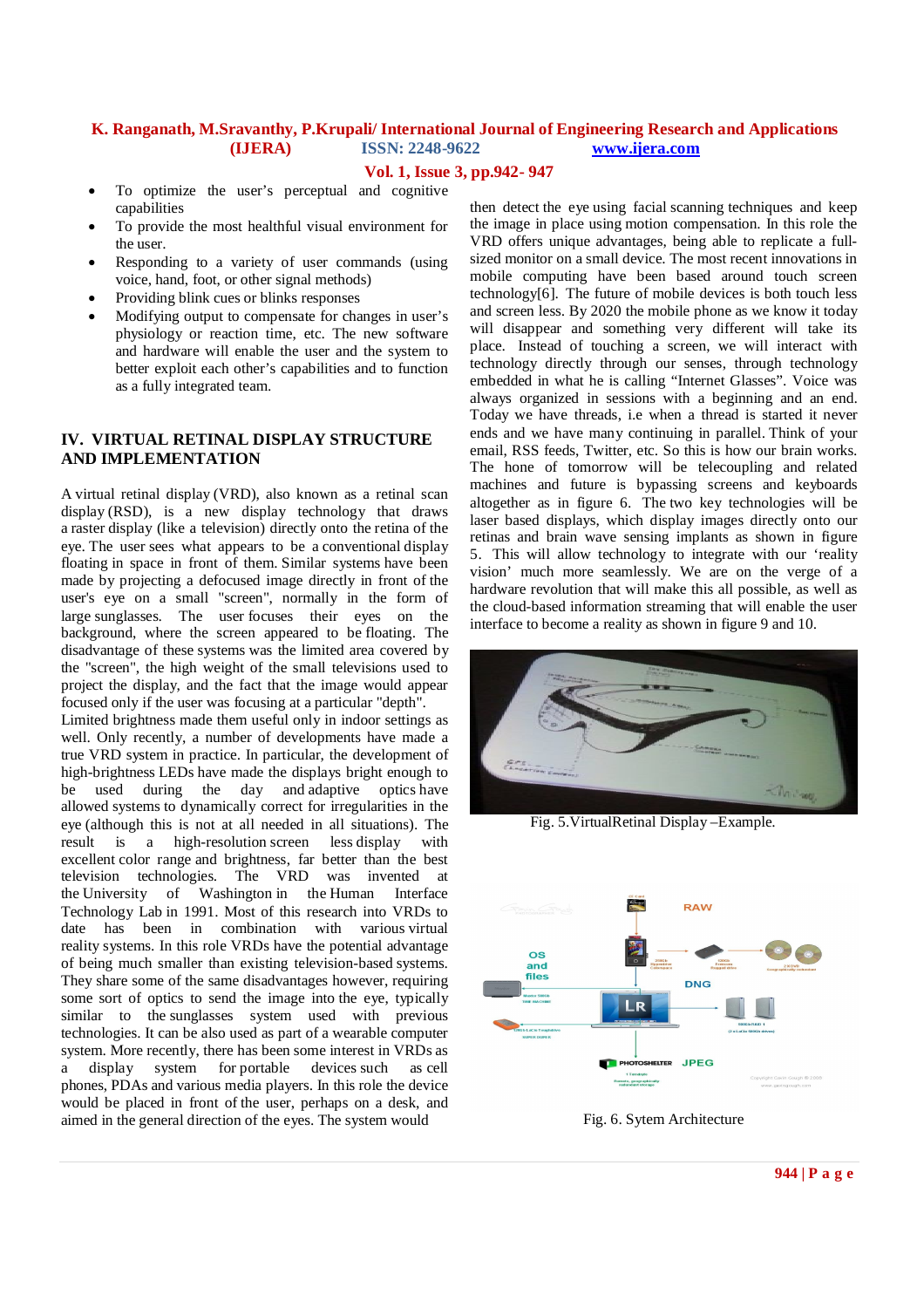### **Vol. 1, Issue 3, pp.942- 947**

- To optimize the user's perceptual and cognitive capabilities
- To provide the most healthful visual environment for the user.
- Responding to a variety of user commands (using voice, hand, foot, or other signal methods)
- Providing blink cues or blinks responses
- Modifying output to compensate for changes in user's physiology or reaction time, etc. The new software and hardware will enable the user and the system to better exploit each other's capabilities and to function as a fully integrated team.

## **IV. VIRTUAL RETINAL DISPLAY STRUCTURE AND IMPLEMENTATION**

A virtual retinal display (VRD), also known as a retinal scan display (RSD), is a new display technology that draws a raster display (like a television) directly onto the retina of the eye. The user sees what appears to be a conventional display floating in space in front of them. Similar systems have been made by projecting a defocused image directly in front of the user's eye on a small "screen", normally in the form of large sunglasses. The user focuses their eyes on the background, where the screen appeared to be floating. The disadvantage of these systems was the limited area covered by the "screen", the high weight of the small televisions used to project the display, and the fact that the image would appear focused only if the user was focusing at a particular "depth".

Limited brightness made them useful only in indoor settings as well. Only recently, a number of developments have made a true VRD system in practice. In particular, the development of high-brightness LEDs have made the displays bright enough to be used during the day and adaptive optics have allowed systems to dynamically correct for irregularities in the eye (although this is not at all needed in all situations). The result is a high-resolution screen less display with excellent color range and brightness, far better than the best<br>television technologies. The VRD was invented at The VRD was invented at the University of Washington in the Human Interface Technology Lab in 1991. Most of this research into VRDs to date has been in combination with various virtual reality systems. In this role VRDs have the potential advantage of being much smaller than existing television-based systems. They share some of the same disadvantages however, requiring some sort of optics to send the image into the eye, typically similar to the sunglasses system used with previous technologies. It can be also used as part of a wearable computer system. More recently, there has been some interest in VRDs as a display system for portable devices such as cell phones, PDAs and various media players. In this role the device would be placed in front of the user, perhaps on a desk, and aimed in the general direction of the eyes. The system would

then detect the eye using facial scanning techniques and keep the image in place using motion compensation. In this role the VRD offers unique advantages, being able to replicate a fullsized monitor on a small device. The most recent innovations in mobile computing have been based around touch screen technology[6]. The future of mobile devices is both touch less and screen less. By 2020 the mobile phone as we know it today will disappear and something very different will take its place. Instead of touching a screen, we will interact with technology directly through our senses, through technology embedded in what he is calling "Internet Glasses". Voice was always organized in sessions with a beginning and an end. Today we have threads, i.e when a thread is started it never ends and we have many continuing in parallel. Think of your email, RSS feeds, Twitter, etc. So this is how our brain works. The hone of tomorrow will be telecoupling and related machines and future is bypassing screens and keyboards altogether as in figure 6. The two key technologies will be laser based displays, which display images directly onto our retinas and brain wave sensing implants as shown in figure 5. This will allow technology to integrate with our 'reality vision' much more seamlessly. We are on the verge of a hardware revolution that will make this all possible, as well as the cloud-based information streaming that will enable the user interface to become a reality as shown in figure 9 and 10.



Fig. 5.VirtualRetinal Display –Example.



Fig. 6. Sytem Architecture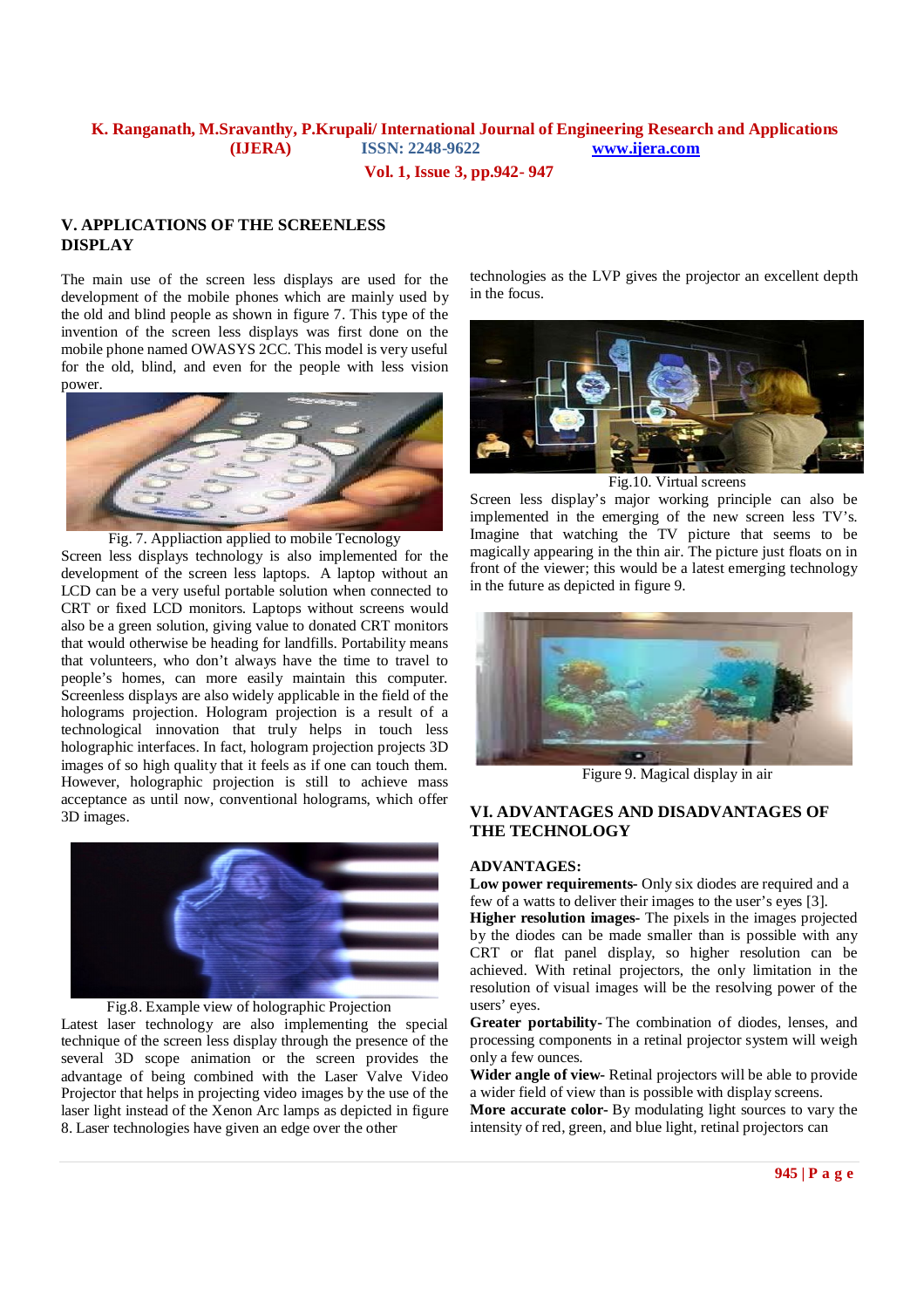**Vol. 1, Issue 3, pp.942- 947**

## **V. APPLICATIONS OF THE SCREENLESS DISPLAY**

The main use of the screen less displays are used for the development of the mobile phones which are mainly used by the old and blind people as shown in figure 7. This type of the invention of the screen less displays was first done on the mobile phone named OWASYS 2CC. This model is very useful for the old, blind, and even for the people with less vision power.



Fig. 7. Appliaction applied to mobile Tecnology

Screen less displays technology is also implemented for the development of the screen less laptops. A laptop without an LCD can be a very useful portable solution when connected to CRT or fixed LCD monitors. Laptops without screens would also be a green solution, giving value to donated CRT monitors that would otherwise be heading for landfills. Portability means that volunteers, who don't always have the time to travel to people's homes, can more easily maintain this computer. Screenless displays are also widely applicable in the field of the holograms projection. Hologram projection is a result of a technological innovation that truly helps in touch less holographic interfaces. In fact, hologram projection projects 3D images of so high quality that it feels as if one can touch them. However, holographic projection is still to achieve mass acceptance as until now, conventional holograms, which offer 3D images.



Fig.8. Example view of holographic Projection

Latest laser technology are also implementing the special technique of the screen less display through the presence of the several 3D scope animation or the screen provides the advantage of being combined with the Laser Valve Video Projector that helps in projecting video images by the use of the laser light instead of the Xenon Arc lamps as depicted in figure 8. Laser technologies have given an edge over the other

technologies as the LVP gives the projector an excellent depth in the focus.



Fig.10. Virtual screens

Screen less display's major working principle can also be implemented in the emerging of the new screen less TV's. Imagine that watching the TV picture that seems to be magically appearing in the thin air. The picture just floats on in front of the viewer; this would be a latest emerging technology in the future as depicted in figure 9.



Figure 9. Magical display in air

## **VI. ADVANTAGES AND DISADVANTAGES OF THE TECHNOLOGY**

### **ADVANTAGES:**

**Low power requirements-** Only six diodes are required and a few of a watts to deliver their images to the user's eyes [3].

**Higher resolution images-** The pixels in the images projected by the diodes can be made smaller than is possible with any CRT or flat panel display, so higher resolution can be achieved. With retinal projectors, the only limitation in the resolution of visual images will be the resolving power of the users' eyes.

**Greater portability-** The combination of diodes, lenses, and processing components in a retinal projector system will weigh only a few ounces.

**Wider angle of view-** Retinal projectors will be able to provide a wider field of view than is possible with display screens.

**More accurate color-** By modulating light sources to vary the intensity of red, green, and blue light, retinal projectors can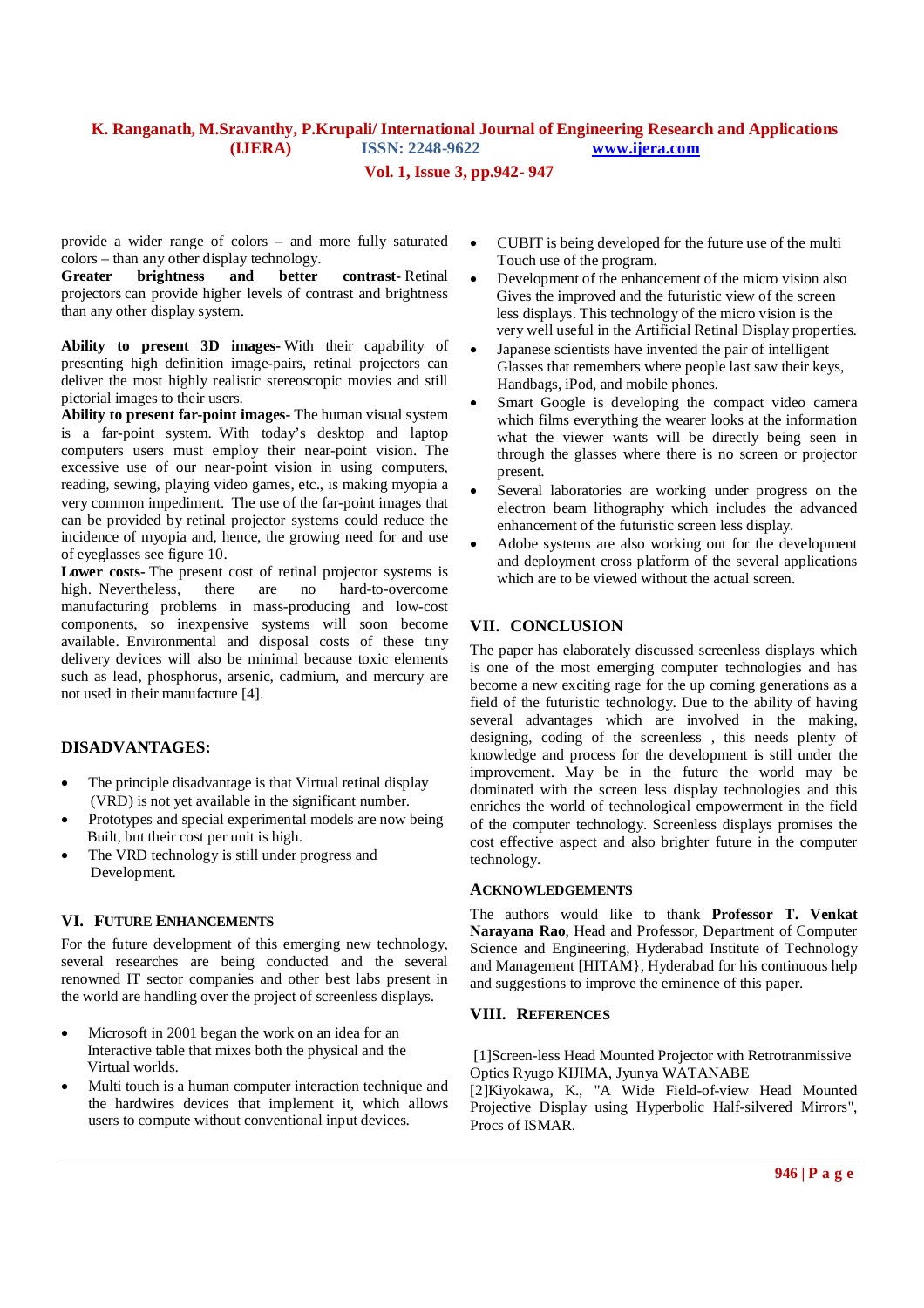## **Vol. 1, Issue 3, pp.942- 947**

provide a wider range of colors – and more fully saturated colors – than any other display technology.

**Greater brightness and better contrast-** Retinal projectors can provide higher levels of contrast and brightness than any other display system.

**Ability to present 3D images-** With their capability of presenting high definition image-pairs, retinal projectors can deliver the most highly realistic stereoscopic movies and still pictorial images to their users.

**Ability to present far-point images-** The human visual system is a far-point system. With today's desktop and laptop computers users must employ their near-point vision. The excessive use of our near-point vision in using computers, reading, sewing, playing video games, etc., is making myopia a very common impediment. The use of the far-point images that can be provided by retinal projector systems could reduce the incidence of myopia and, hence, the growing need for and use of eyeglasses see figure 10.

**Lower costs-** The present cost of retinal projector systems is high. Nevertheless, there are no hard-to-overcome manufacturing problems in mass-producing and low-cost components, so inexpensive systems will soon become available. Environmental and disposal costs of these tiny delivery devices will also be minimal because toxic elements such as lead, phosphorus, arsenic, cadmium, and mercury are not used in their manufacture [4].

## **DISADVANTAGES:**

- The principle disadvantage is that Virtual retinal display (VRD) is not yet available in the significant number.
- Prototypes and special experimental models are now being Built, but their cost per unit is high.
- The VRD technology is still under progress and Development.

### **VI. FUTURE ENHANCEMENTS**

For the future development of this emerging new technology, several researches are being conducted and the several renowned IT sector companies and other best labs present in the world are handling over the project of screenless displays.

- Microsoft in 2001 began the work on an idea for an Interactive table that mixes both the physical and the Virtual worlds.
- Multi touch is a human computer interaction technique and the hardwires devices that implement it, which allows users to compute without conventional input devices.
- CUBIT is being developed for the future use of the multi Touch use of the program.
- Development of the enhancement of the micro vision also Gives the improved and the futuristic view of the screen less displays. This technology of the micro vision is the very well useful in the Artificial Retinal Display properties.
- Japanese scientists have invented the pair of intelligent Glasses that remembers where people last saw their keys, Handbags, iPod, and mobile phones.
- Smart Google is developing the compact video camera which films everything the wearer looks at the information what the viewer wants will be directly being seen in through the glasses where there is no screen or projector present.
- Several laboratories are working under progress on the electron beam lithography which includes the advanced enhancement of the futuristic screen less display.
- Adobe systems are also working out for the development and deployment cross platform of the several applications which are to be viewed without the actual screen.

## **VII. CONCLUSION**

The paper has elaborately discussed screenless displays which is one of the most emerging computer technologies and has become a new exciting rage for the up coming generations as a field of the futuristic technology. Due to the ability of having several advantages which are involved in the making, designing, coding of the screenless , this needs plenty of knowledge and process for the development is still under the improvement. May be in the future the world may be dominated with the screen less display technologies and this enriches the world of technological empowerment in the field of the computer technology. Screenless displays promises the cost effective aspect and also brighter future in the computer technology.

### **ACKNOWLEDGEMENTS**

The authors would like to thank **Professor T. Venkat Narayana Rao**, Head and Professor, Department of Computer Science and Engineering, Hyderabad Institute of Technology and Management [HITAM}, Hyderabad for his continuous help and suggestions to improve the eminence of this paper.

### **VIII. REFERENCES**

[1]Screen-less Head Mounted Projector with Retrotranmissive Optics Ryugo KIJIMA, Jyunya WATANABE

[2]Kiyokawa, K., "A Wide Field-of-view Head Mounted Projective Display using Hyperbolic Half-silvered Mirrors", Procs of ISMAR.